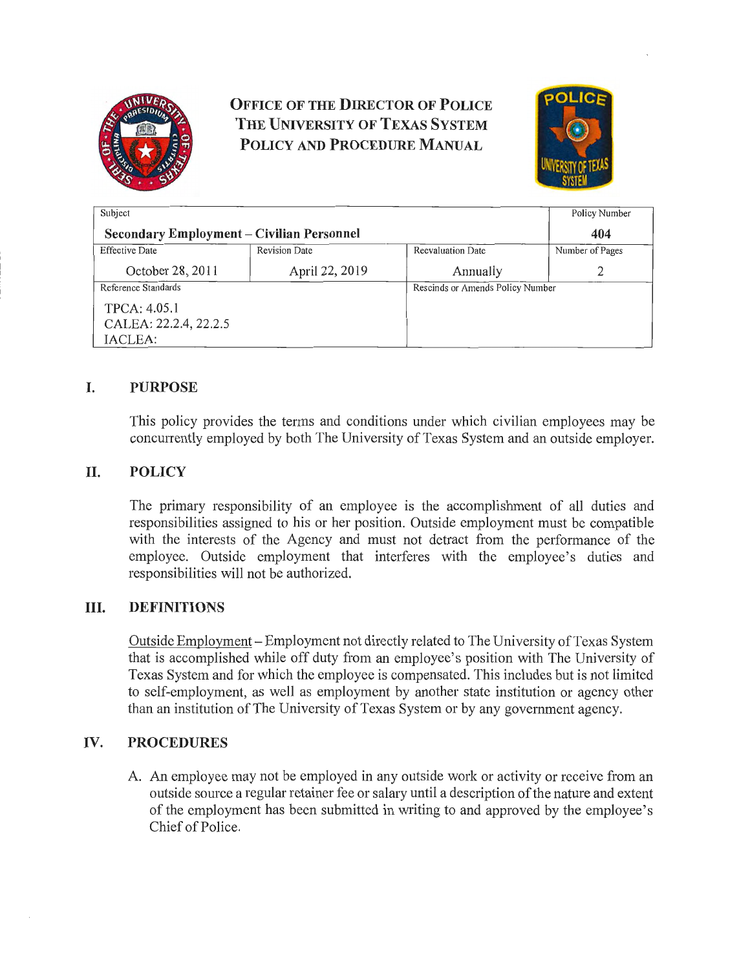

# **OFFICE OF THE DIRECTOR OF POLICE THE UNIVERSITY OF TEXAS SYSTEM POLICY AND PROCEDURE MANUAL**



| Subject                                          |                      |                                  | Policy Number   |
|--------------------------------------------------|----------------------|----------------------------------|-----------------|
| <b>Secondary Employment - Civilian Personnel</b> |                      |                                  | 404             |
| <b>Effective Date</b>                            | <b>Revision Date</b> | Reevaluation Date                | Number of Pages |
| October 28, 2011                                 | April 22, 2019       | Annually                         |                 |
| Reference Standards                              |                      | Rescinds or Amends Policy Number |                 |
| TPCA: 4.05.1                                     |                      |                                  |                 |
| CALEA: 22.2.4, 22.2.5                            |                      |                                  |                 |
| IACLEA:                                          |                      |                                  |                 |

## I. **PURPOSE**

This policy provides the terms and conditions under which civilian employees may be concurrently employed by both The University of Texas System and an outside employer.

## II. **POLICY**

The primary responsibility of an employee is the accomplishment of all duties and responsibilities assigned to his or her position. Outside employment must be compatible with the interests of the Agency and must not detract from the performance of the employee. Outside employment that interferes with the employee's duties and responsibilities will not be authorized.

### III. **DEFINITIONS**

Outside Employment- Employment not directly related to The University of Texas System that is accomplished while off duty from an employee's position with The University of Texas System and for which the employee is compensated. This includes but is not limited to self-employment, as well as employment by another state institution or agency other than an institution of The University of Texas System or by any government agency.

### **IV. PROCEDURES**

A. An employee may not be employed in any outside work or activity or receive from an outside source a regular retainer fee or salary until a description of the nature and extent of the employment has been submitted in writing to and approved by the employee's Chief of Police.